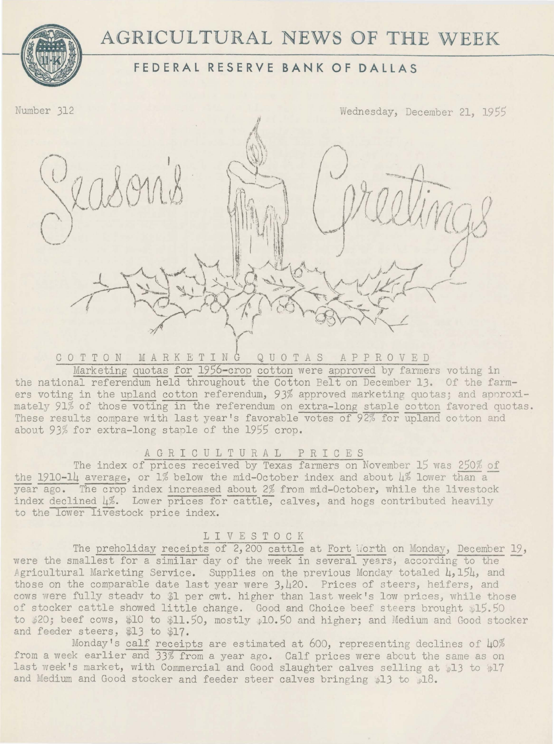# **AGRICULTURAL NEWS OF THE WEEK**

# **FEDERAL RESERVE BANK OF DALLAS**

Number 312

Wednesday, December 21, 1955

 $\hat{H}$  $\ell$  .  $\mathbb{C}$  $\sum_{n=1}^{\infty} (1/n)^n$ ;'\· !.. l P \\, » '/ L ~\_,,i( YA 1 rl *11 r 1* x . l *ti* 1 · 1 .j .... . \ *.*  $98.$  $\mathbb{P}^1$  $A \cup A \cup A$ 14 July 1 ~1(7 ~~yj ~~ii~~~~. ~~~~y-~- '-- · !\ .. } '' (h . -t:J\~tf~\rY',/( *.L*   $\sqrt{1-x^2}$ 

# i C 0 T T 0 N M A R K E T I N G Q U 0 T A S A P P R 0 V E D

Marketing quotas for 1956-crop cotton were approved by farmers voting in the national referendum held throughout the Cotton Belt on December 13. Of the farmers voting in the upland cotton referendum, *93%* approved marketing quotas; and apnroximately 91% of those voting in the referendum on extra-long staple cotton favored quotas. These results compare with last year's favorable votes of 92% for upland cotton and about 93% for extra-long staple of the 1955 crop.

### A G R I C U L T U R A L P R I C E S

The index of prices received by Texas farmers on November 15 was 250% of the 1910-14 average, or 1% below the mid-October index and about  $4\%$  lower than a year ago. The crop index increased about 2% from mid-October, while the livestock index declined 4%. Lower prices for cattle, calves, and hogs contributed heavily to the lower livestock price index.

## 1 I V E S T 0 C K

The preholiday receipts of  $2,200$  cattle at Fort Worth on Monday, December 19, were the smallest for a similar day of the week in several years, according to the Agricultural Marketing Service. Supplies on the previous Monday totaled 4,154, and those on the comparable date last year were 3,420. Prices of steers, heifers, and cows were fully steadv to \$1 per cwt. higher than last week's low prices, while those of stocker cattle showed little change. Good and Choice beef steers brought  $$15.50$ to  $$20;$  beef cows,  $$10$  to  $$11.50$ , mostly  $$10.50$  and higher; and Medium and Good stocker and feeder steers,  $$13$  to  $$17.$ 

Monday's calf receipts are estimated at 600, representing declines of 40% from a week earlier and 33% from a year ago. Calf prices were about the same as on last week's market, with Commercial and Good slaughter calves selling at pl3 to pl7 and Medium and Good stocker and feeder steer calves bringing  $*13$  to  $*18$ .